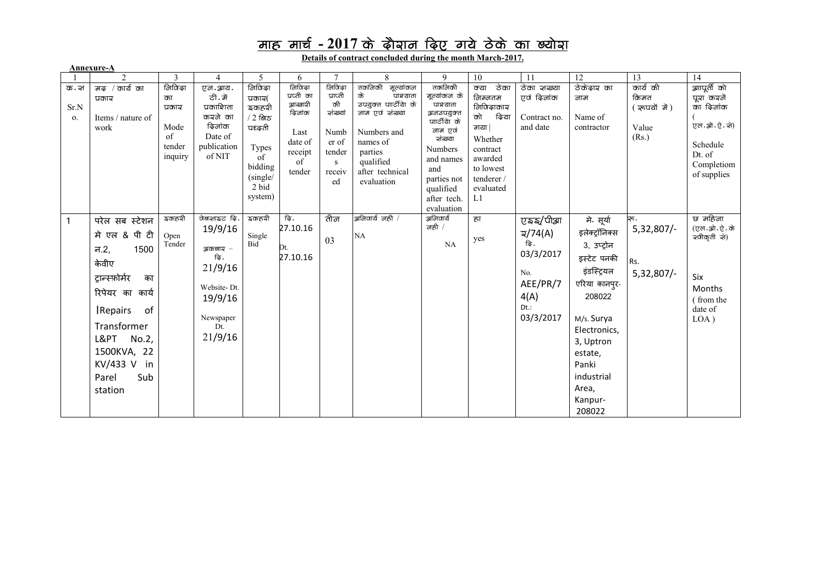## <u>माह मार्च - 2017 के दौवान दिए गये ठेके का ख्योवा</u>

**Details of contract concluded during the month March-2017.**

| Annexure-A             |                                                                                                                                                                                                                                |                                                             |                                                                                                                     |                                                                                                                    |                                                                                                  |                                                                                       |                                                                                                                                                                           |                                                                                                                                                                                               |                                                                                                                                                         |                                                                                                            |                                                                                                                                                                                                                 |                                                    |                                                                                                         |
|------------------------|--------------------------------------------------------------------------------------------------------------------------------------------------------------------------------------------------------------------------------|-------------------------------------------------------------|---------------------------------------------------------------------------------------------------------------------|--------------------------------------------------------------------------------------------------------------------|--------------------------------------------------------------------------------------------------|---------------------------------------------------------------------------------------|---------------------------------------------------------------------------------------------------------------------------------------------------------------------------|-----------------------------------------------------------------------------------------------------------------------------------------------------------------------------------------------|---------------------------------------------------------------------------------------------------------------------------------------------------------|------------------------------------------------------------------------------------------------------------|-----------------------------------------------------------------------------------------------------------------------------------------------------------------------------------------------------------------|----------------------------------------------------|---------------------------------------------------------------------------------------------------------|
|                        | $\overline{2}$                                                                                                                                                                                                                 | 3                                                           | $\overline{4}$                                                                                                      | 5                                                                                                                  | 6                                                                                                | $\overline{7}$                                                                        | 8                                                                                                                                                                         | 9                                                                                                                                                                                             | $10\,$                                                                                                                                                  | 11                                                                                                         | $\overline{12}$                                                                                                                                                                                                 | $\overline{13}$                                    | 14                                                                                                      |
| ক্ত. ন্স<br>Sr.N<br>0. | $\overline{a}$ $\overline{a}$ $\overline{b}$ $\overline{a}$ $\overline{b}$<br>प्रकाञ<br>Items / nature of<br>work                                                                                                              | नियिद्धा<br>का<br>प्रकार<br>Mode<br>of<br>tender<br>inquiry | एन.आय<br>ਟੀ.ਗੇਂ<br>प्रकाशिता<br>करने का<br>विजांक<br>Date of<br>publication<br>of NIT                               | निविद्<br>प्रकाञ्<br><i>इ</i> कहरी<br>$/2$ लिङ<br>पध्ढती<br>Types<br>of<br>bidding<br>(single/<br>2 bid<br>system) | नियिद्धा<br>प्रप्ती का<br>आव्वादी<br><i>दिलांक</i><br>Last<br>date of<br>receipt<br>of<br>tender | निविद्धा<br>प्राप्ती<br>की<br>ञंख्यां<br>Numb<br>er of<br>tender<br>S<br>receiv<br>ed | तकनिकी<br>मूल्यांकन<br>के<br><i>पाश्याता</i><br>उपयुक्त पार्टीया के<br>नाम एवं अंख्या<br>Numbers and<br>names of<br>parties<br>qualified<br>after technical<br>evaluation | तकनिकी<br>मूल्यांकन के<br>पाश्याता<br><u> अनउपयुक्त</u><br>पाार्टी येा के<br>नाम एवं<br>ञंख्या<br><b>Numbers</b><br>and names<br>and<br>parties not<br>qualified<br>after tech.<br>evaluation | ठेका<br>क्या<br>निम्नतम<br><i>नि</i> यिद्धाकाञ्<br>व्हिया<br>को<br>गया  <br>Whether<br>contract<br>awarded<br>to lowest<br>tenderer/<br>evaluated<br>L1 | ठेका अञ्ख्या<br>एवं ढ़िनांक<br>Contract no.<br>and date                                                    | ठेकेढाव का<br>नाम<br>Name of<br>contractor                                                                                                                                                                      | कार्य की<br>किमत<br>(ख़्वयं में)<br>Value<br>(Rs.) | आापूर्ती को<br>पूरा कर्को<br>का ढ़िलांक<br>एल.ओ.ऐ.ओ)<br>Schedule<br>Dt. of<br>Completiom<br>of supplies |
| $\mathbf{1}$           | परेल सब स्टेशन<br>पी टी<br>मे एल &<br>1500<br>न.2,<br>केवीए<br>ट्रान्स्फ़ोर्मर<br>का<br>रिपेयर का<br>कार्य<br><b>Repairs</b><br>of<br>Transformer<br>L&PT<br>No.2,<br>1500KVA, 22<br>KV/433 V<br>in<br>Sub<br>Parel<br>station | হক্ৰন্নী<br>Open<br>Tender                                  | पेखआइट ढ़ि.<br>19/9/16<br>প্পক্রজাত্ম —<br>रि .<br>21/9/16<br>Website-Dt.<br>19/9/16<br>Newspaper<br>Dt.<br>21/9/16 | <u>इकहरी</u><br>Single<br>Bid                                                                                      | ढि.<br>27.10.16<br>Dt.<br>27.10.16                                                               | तीन<br>03                                                                             | अनिवार्य नही /<br>$\rm NA$                                                                                                                                                | <u> अनिवार्य</u><br>नही $/$<br>NA                                                                                                                                                             | हा<br>yes                                                                                                                                               | ত্ৰুহ্ম/্যীয়া<br>$\overline{a}/74(A)$<br>ढि.<br>03/3/2017<br>No.<br>AEE/PR/7<br>4(A)<br>Dt.:<br>03/3/2017 | मे  सूर्या<br>इलेक्ट्रॉनिक्स<br>3, उप्ट्रोन<br>इस्टेट पनकी<br>इंडस्ट्रियल<br>एरिया कानपुर-<br>208022<br>M/s. Surya<br>Electronics,<br>3, Uptron<br>estate,<br>Panki<br>industrial<br>Area,<br>Kanpur-<br>208022 | ন্ন .<br>5,32,807/-<br>Rs.<br>$5,32,807/-$         | छ महिना<br>(एल.ओ.ऐ.के<br>क्यीकृती को)<br>Six<br>Months<br>(from the<br>date of<br>LOA)                  |